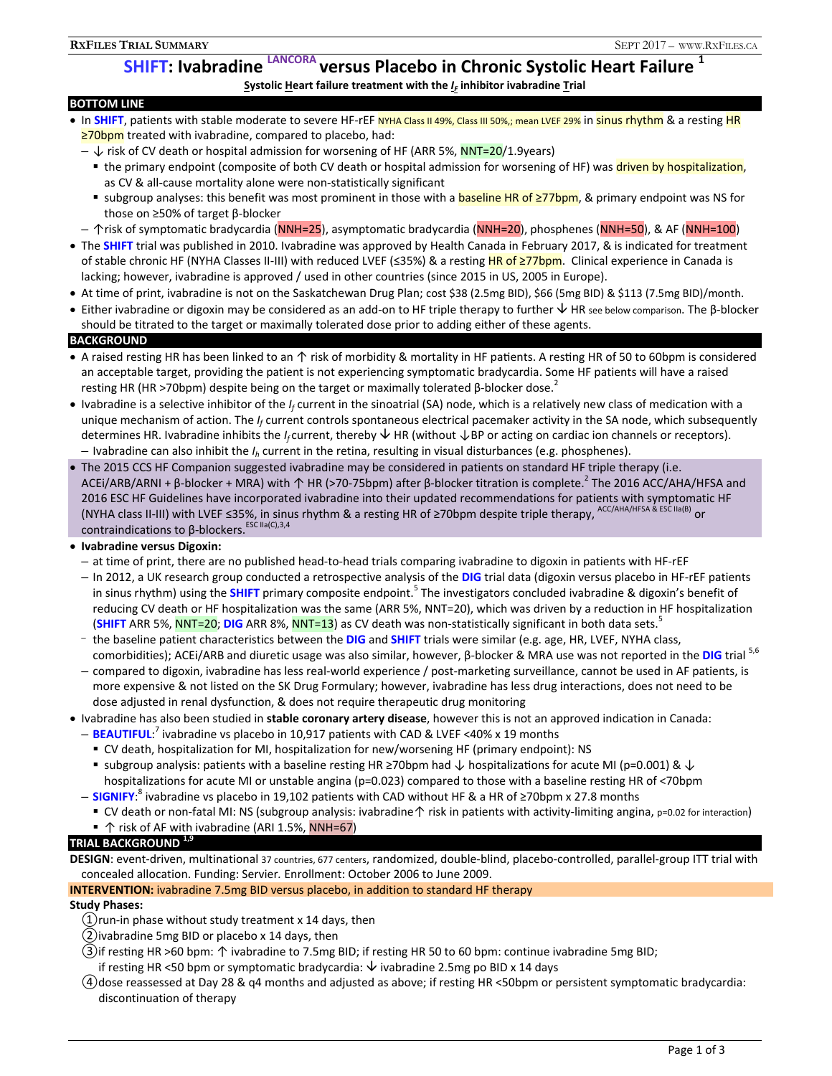# **SHIFT: Ivabradine LANCORA versus Placebo in Chronic Systolic Heart Failure 1**

**Systolic Heart failure treatment with the** *I<sub>F</sub>* **inhibitor ivabradine Trial** 

### **BOTTOM LINE**

- In SHIFT, patients with stable moderate to severe HF-rEF NYHA Class II 49%, Class III 50%,; mean LVEF 29% in sinus rhythm & a resting HR ≥70bpm treated with ivabradine, compared to placebo, had:
	- ↓ risk of CV death or hospital admission for worsening of HF (ARR 5%, NNT=20/1.9years)
		- **the primary endpoint (composite of both CV death or hospital admission for worsening of HF) was driven by hospitalization,** as CV & all-cause mortality alone were non-statistically significant
		- subgroup analyses: this benefit was most prominent in those with a **baseline HR of ≥77bpm**, & primary endpoint was NS for those on ≥50% of target β-blocker
	- ↑risk of symptomatic bradycardia (NNH=25), asymptomatic bradycardia (NNH=20), phosphenes (NNH=50), & AF (NNH=100)
- The **SHIFT** trial was published in 2010. Ivabradine was approved by Health Canada in February 2017, & is indicated for treatment of stable chronic HF (NYHA Classes II-III) with reduced LVEF (≤35%) & a resting HR of ≥77bpm. Clinical experience in Canada is lacking; however, ivabradine is approved / used in other countries (since 2015 in US, 2005 in Europe).
- At time of print, ivabradine is not on the Saskatchewan Drug Plan; cost \$38 (2.5mg BID), \$66 (5mg BID) & \$113 (7.5mg BID)/month.
- **•** Either ivabradine or digoxin may be considered as an add-on to HF triple therapy to further  $\forall$  HR see below comparison. The β-blocker should be titrated to the target or maximally tolerated dose prior to adding either of these agents. **BACKGROUND**

# • A raised resting HR has been linked to an ↑ risk of morbidity & mortality in HF patients. A resting HR of 50 to 60bpm is considered an acceptable target, providing the patient is not experiencing symptomatic bradycardia. Some HF patients will have a raised resting HR (HR >70bpm) despite being on the target or maximally tolerated β-blocker dose.<sup>2</sup>

- Ivabradine is a selective inhibitor of the *I<sub>f</sub>* current in the sinoatrial (SA) node, which is a relatively new class of medication with a unique mechanism of action. The *If* current controls spontaneous electrical pacemaker activity in the SA node, which subsequently determines HR. Ivabradine inhibits the *If* current, thereby HR (without ↓BP or acting on cardiac ion channels or receptors). – Ivabradine can also inhibit the *Ih* current in the retina, resulting in visual disturbances (e.g. phosphenes).
- The 2015 CCS HF Companion suggested ivabradine may be considered in patients on standard HF triple therapy (i.e. ACEi/ARB/ARNI + β-blocker + MRA) with 个 HR (>70-75bpm) after β-blocker titration is complete.<sup>2</sup> The 2016 ACC/AHA/HFSA and 2016 ESC HF Guidelines have incorporated ivabradine into their updated recommendations for patients with symptomatic HF (NYHA class II-III) with LVEF ≤35%, in sinus rhythm & a resting HR of ≥70bpm despite triple therapy, ACC/AHA/HFSA & ESC IIa(B) or contraindications to β-blockers.<sup>ESC IIa(C),3,4</sup>

### **Ivabradine versus Digoxin:**

- at time of print, there are no published head-to-head trials comparing ivabradine to digoxin in patients with HF-rEF
- In 2012, a UK research group conducted a retrospective analysis of the **DIG** trial data (digoxin versus placebo in HF-rEF patients in sinus rhythm) using the SHIFT primary composite endpoint.<sup>5</sup> The investigators concluded ivabradine & digoxin's benefit of reducing CV death or HF hospitalization was the same (ARR 5%, NNT=20), which was driven by a reduction in HF hospitalization (**SHIFT** ARR 5%, NNT=20; DIG ARR 8%, NNT=13) as CV death was non-statistically significant in both data sets.<sup>3</sup>
- the baseline patient characteristics between the **DIG** and **SHIFT** trials were similar (e.g. age, HR, LVEF, NYHA class, comorbidities); ACEi/ARB and diuretic usage was also similar, however, β-blocker & MRA use was not reported in the **DIG** trial 5,6
- compared to digoxin, ivabradine has less real-world experience / post-marketing surveillance, cannot be used in AF patients, is more expensive & not listed on the SK Drug Formulary; however, ivabradine has less drug interactions, does not need to be dose adjusted in renal dysfunction, & does not require therapeutic drug monitoring
- Ivabradine has also been studied in **stable coronary artery disease**, however this is not an approved indication in Canada:
	- BEAUTIFUL<sup>?</sup> ivabradine vs placebo in 10,917 patients with CAD & LVEF <40% x 19 months
		- CV death, hospitalization for MI, hospitalization for new/worsening HF (primary endpoint): NS
	- subgroup analysis: patients with a baseline resting HR ≥70bpm had  $\downarrow$  hospitalizations for acute MI (p=0.001) &  $\downarrow$ hospitalizations for acute MI or unstable angina (p=0.023) compared to those with a baseline resting HR of <70bpm
	- SIGNIFY:<sup>8</sup> ivabradine vs placebo in 19,102 patients with CAD without HF & a HR of ≥70bpm x 27.8 months
		- CV death or non-fatal MI: NS (subgroup analysis: ivabradine ↑ risk in patients with activity-limiting angina, p=0.02 for interaction)
	- ↑ risk of AF with ivabradine (ARI 1.5%, NNH=67)

# **TRIAL BACKGROUND 1,9**

**DESIGN**: event-driven, multinational 37 countries, 677 centers, randomized, double-blind, placebo-controlled, parallel-group ITT trial with concealed allocation. Funding: Servier*.* Enrollment: October 2006 to June 2009.

### **INTERVENTION:** ivabradine 7.5mg BID versus placebo, in addition to standard HF therapy

### **Study Phases:**

- ①run-in phase without study treatment x 14 days, then
- ②ivabradine 5mg BID or placebo x 14 days, then
- ③if resƟng HR >60 bpm: ↑ ivabradine to 7.5mg BID; if resting HR 50 to 60 bpm: continue ivabradine 5mg BID;
- if resting HR <50 bpm or symptomatic bradycardia:  $\overline{\triangledown}$  ivabradine 2.5mg po BID x 14 days
- ④dose reassessed at Day 28 & q4 months and adjusted as above; if resting HR <50bpm or persistent symptomatic bradycardia: discontinuation of therapy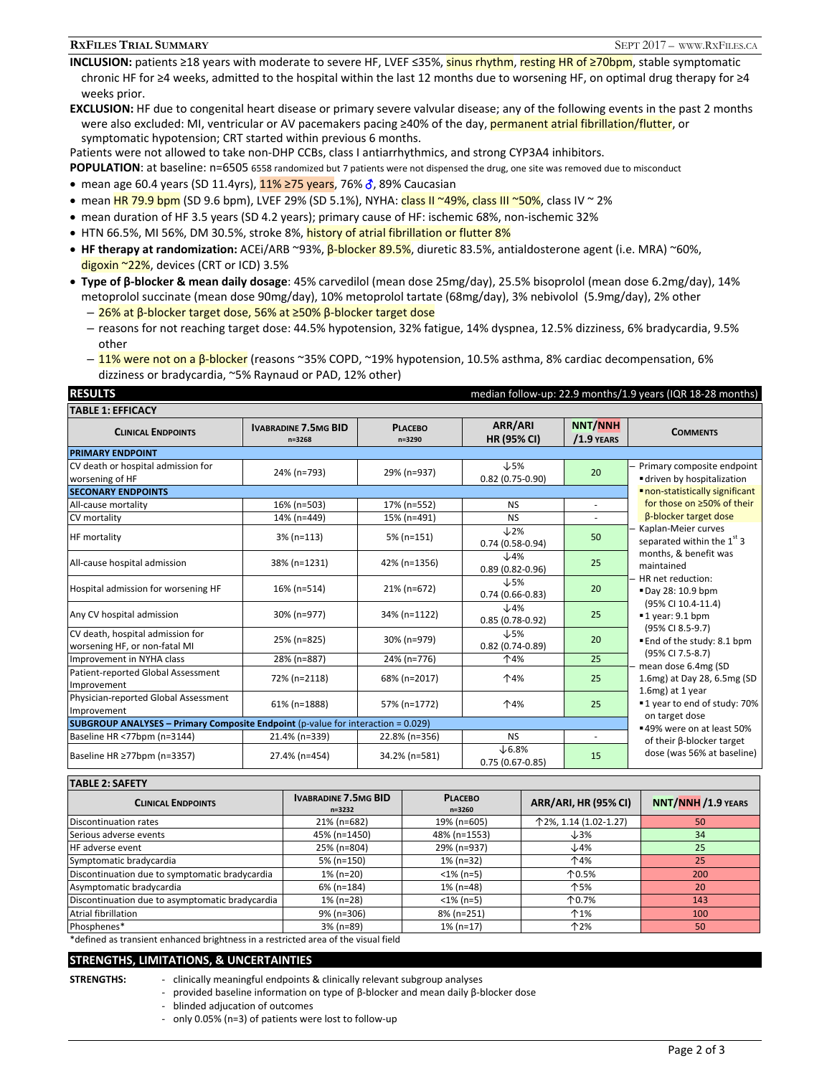#### **RXFILES TRIAL SUMMARY** SEPT 2017 – WWW.RXFILES.CA

**INCLUSION:** patients ≥18 years with moderate to severe HF, LVEF ≤35%, sinus rhythm, resting HR of ≥70bpm, stable symptomatic chronic HF for ≥4 weeks, admitted to the hospital within the last 12 months due to worsening HF, on optimal drug therapy for ≥4 weeks prior.

**EXCLUSION:** HF due to congenital heart disease or primary severe valvular disease; any of the following events in the past 2 months were also excluded: MI, ventricular or AV pacemakers pacing ≥40% of the day, permanent atrial fibrillation/flutter, or symptomatic hypotension; CRT started within previous 6 months.

Patients were not allowed to take non-DHP CCBs, class I antiarrhythmics, and strong CYP3A4 inhibitors.

**POPULATION:** at baseline: n=6505 6558 randomized but 7 patients were not dispensed the drug, one site was removed due to misconduct

- mean age 60.4 years (SD 11.4yrs),  $11\%$  ≥75 years, 76%  $\delta$ , 89% Caucasian
- $\bullet$  mean HR 79.9 bpm (SD 9.6 bpm), LVEF 29% (SD 5.1%), NYHA: class II ~49%, class III ~50%, class IV ~ 2%
- mean duration of HF 3.5 years (SD 4.2 years); primary cause of HF: ischemic 68%, non-ischemic 32%
- HTN 66.5%, MI 56%, DM 30.5%, stroke 8%, history of atrial fibrillation or flutter 8%
- **HF therapy at randomization:** ACEi/ARB ~93%, β-blocker 89.5%, diuretic 83.5%, antialdosterone agent (i.e. MRA) ~60%, digoxin ~22%, devices (CRT or ICD) 3.5%
- **Type of β-blocker & mean daily dosage**: 45% carvedilol (mean dose 25mg/day), 25.5% bisoprolol (mean dose 6.2mg/day), 14% metoprolol succinate (mean dose 90mg/day), 10% metoprolol tartate (68mg/day), 3% nebivolol (5.9mg/day), 2% other
	- 26% at β-blocker target dose, 56% at ≥50% β-blocker target dose
	- reasons for not reaching target dose: 44.5% hypotension, 32% fatigue, 14% dyspnea, 12.5% dizziness, 6% bradycardia, 9.5% other
	- $-$  11% were not on a β-blocker (reasons ~35% COPD, ~19% hypotension, 10.5% asthma, 8% cardiac decompensation, 6% dizziness or bradycardia, ~5% Raynaud or PAD, 12% other)

| <b>RESULTS</b>                                                                   |                                           | median follow-up: 22.9 months/1.9 years (IQR 18-28 months) |                                        |                                |                                                         |  |  |  |  |
|----------------------------------------------------------------------------------|-------------------------------------------|------------------------------------------------------------|----------------------------------------|--------------------------------|---------------------------------------------------------|--|--|--|--|
| <b>TABLE 1: EFFICACY</b>                                                         |                                           |                                                            |                                        |                                |                                                         |  |  |  |  |
| <b>CLINICAL ENDPOINTS</b>                                                        | <b>IVABRADINE 7.5MG BID</b><br>$n = 3268$ | <b>PLACEBO</b><br>$n = 3290$                               | ARR/ARI<br><b>HR (95% CI)</b>          | <b>NNT/NNH</b><br>$/1.9$ YEARS | <b>COMMENTS</b>                                         |  |  |  |  |
| <b>PRIMARY ENDPOINT</b>                                                          |                                           |                                                            |                                        |                                |                                                         |  |  |  |  |
| CV death or hospital admission for<br>worsening of HF                            | 24% (n=793)                               | 29% (n=937)                                                | $\downarrow$ 5%<br>$0.82(0.75-0.90)$   | 20                             | Primary composite endpoint<br>driven by hospitalization |  |  |  |  |
| <b>SECONARY ENDPOINTS</b>                                                        | non-statistically significant             |                                                            |                                        |                                |                                                         |  |  |  |  |
| All-cause mortality                                                              | 16% (n=503)                               | 17% (n=552)                                                | <b>NS</b>                              | ÷                              | for those on ≥50% of their                              |  |  |  |  |
| CV mortality                                                                     | 14% (n=449)                               | 15% (n=491)                                                | <b>NS</b>                              |                                | <b>B-blocker target dose</b>                            |  |  |  |  |
| <b>HF</b> mortality                                                              | $3\%$ (n=113)                             | $5% (n=151)$                                               | $\downarrow$ 2%<br>$0.74(0.58-0.94)$   | 50                             | Kaplan-Meier curves<br>separated within the $1st$ 3     |  |  |  |  |
| All-cause hospital admission                                                     | 38% (n=1231)                              | 42% (n=1356)                                               | $\downarrow$ 4%<br>$0.89(0.82 - 0.96)$ | 25                             | months, & benefit was<br>maintained                     |  |  |  |  |
| Hospital admission for worsening HF                                              | 16% (n=514)                               | 21% (n=672)                                                | $\downarrow$ 5%<br>$0.74(0.66-0.83)$   | 20                             | HR net reduction:<br>"Day 28: 10.9 bpm                  |  |  |  |  |
| Any CV hospital admission                                                        | 30% (n=977)                               | 34% (n=1122)                                               | $\downarrow$ 4%<br>$0.85(0.78-0.92)$   | 25                             | (95% CI 10.4-11.4)<br>$\blacksquare$ 1 year: 9.1 bpm    |  |  |  |  |
| CV death, hospital admission for<br>worsening HF, or non-fatal MI                | 25% (n=825)                               | 30% (n=979)                                                | $\downarrow$ 5%<br>$0.82(0.74-0.89)$   | 20                             | (95% CI 8.5-9.7)<br>■ End of the study: 8.1 bpm         |  |  |  |  |
| Improvement in NYHA class                                                        | 28% (n=887)                               | 24% (n=776)                                                | 个4%                                    | 25                             | (95% CI 7.5-8.7)<br>mean dose 6.4mg (SD                 |  |  |  |  |
| Patient-reported Global Assessment<br>Improvement                                | 72% (n=2118)                              | 68% (n=2017)                                               | 个4%                                    | 25                             | 1.6mg) at Day 28, 6.5mg (SD<br>1.6mg) at 1 year         |  |  |  |  |
| Physician-reported Global Assessment<br>Improvement                              | 61% (n=1888)                              | 57% (n=1772)                                               | 个4%                                    | 25                             | ■1 year to end of study: 70%<br>on target dose          |  |  |  |  |
| SUBGROUP ANALYSES - Primary Composite Endpoint (p-value for interaction = 0.029) | ■ 49% were on at least 50%                |                                                            |                                        |                                |                                                         |  |  |  |  |
| Baseline HR <77bpm (n=3144)                                                      | 21.4% (n=339)                             | 22.8% (n=356)                                              | <b>NS</b>                              | ٠                              | of their B-blocker target                               |  |  |  |  |
| Baseline HR ≥77bpm (n=3357)                                                      | 27.4% (n=454)                             | 34.2% (n=581)                                              | $\times$ 6.8%<br>$0.75(0.67-0.85)$     | 15                             | dose (was 56% at baseline)                              |  |  |  |  |

**TABLE 2: SAFETY**

| .                                                                                 |                                           |                              |                             |                           |  |  |  |
|-----------------------------------------------------------------------------------|-------------------------------------------|------------------------------|-----------------------------|---------------------------|--|--|--|
| <b>CLINICAL ENDPOINTS</b>                                                         | <b>IVABRADINE 7.5MG BID</b><br>$n = 3232$ | <b>PLACEBO</b><br>$n = 3260$ | <b>ARR/ARI, HR (95% CI)</b> | <b>NNT/NNH /1.9 YEARS</b> |  |  |  |
| Discontinuation rates                                                             | 21% (n=682)                               | 19% (n=605)                  | 个2%, 1.14 (1.02-1.27)       | 50                        |  |  |  |
| Serious adverse events                                                            | 45% (n=1450)                              | 48% (n=1553)                 | $\downarrow$ 3%             | 34                        |  |  |  |
| <b>HF</b> adverse event                                                           | 25% (n=804)                               | 29% (n=937)                  | $\downarrow$ 4%             | 25                        |  |  |  |
| Symptomatic bradycardia                                                           | 5% (n=150)                                | $1\%$ (n=32)                 | 个4%                         | 25                        |  |  |  |
| Discontinuation due to symptomatic bradycardia                                    | 1% (n=20)                                 | $<$ 1% (n=5)                 | 个0.5%                       | 200                       |  |  |  |
| Asymptomatic bradycardia                                                          | 6% (n=184)                                | $1\%$ (n=48)                 | 个5%                         | 20                        |  |  |  |
| Discontinuation due to asymptomatic bradycardia                                   | 1% (n=28)                                 | $<$ 1% (n=5)                 | 个0.7%                       | 143                       |  |  |  |
| <b>Atrial fibrillation</b>                                                        | 9% (n=306)                                | 8% (n=251)                   | $\uparrow$ 1%               | 100                       |  |  |  |
| Phosphenes*                                                                       | $3% (n=89)$                               | $1\%$ (n=17)                 | 个2%                         | 50                        |  |  |  |
| tofined as transient oppaneed brightness in a restricted area of the visual field |                                           |                              |                             |                           |  |  |  |

defined as transient enhanced brightness in a restricted area of the visual field

**STRENGTHS, LIMITATIONS, & UNCERTAINTIES** 

- 
- **STRENGTHS:**  clinically meaningful endpoints & clinically relevant subgroup analyses
	- provided baseline information on type of β-blocker and mean daily β-blocker dose
		- blinded adjucation of outcomes
		- only 0.05% (n=3) of patients were lost to follow-up